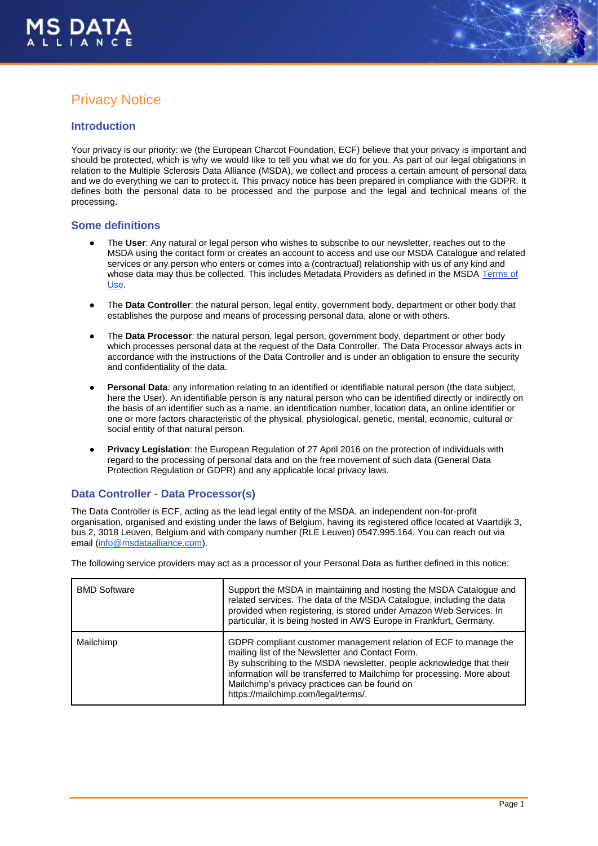

# Privacy Notice

#### **Introduction**

Your privacy is our priority: we (the European Charcot Foundation, ECF) believe that your privacy is important and should be protected, which is why we would like to tell you what we do for you. As part of our legal obligations in relation to the Multiple Sclerosis Data Alliance (MSDA), we collect and process a certain amount of personal data and we do everything we can to protect it. This privacy notice has been prepared in compliance with the GDPR. It defines both the personal data to be processed and the purpose and the legal and technical means of the processing.

#### **Some definitions**

- The User: Any natural or legal person who wishes to subscribe to our newsletter, reaches out to the MSDA using the contact form or creates an account to access and use our MSDA Catalogue and related services or any person who enters or comes into a (contractual) relationship with us of any kind and whose data may thus be collected. This includes Metadata Providers as defined in the MSDA [Terms of](https://drive.google.com/file/d/1Bd9RzB20hBIROWGpg3WiqW0dFbbS22ZC/view)  [Use.](https://drive.google.com/file/d/1Bd9RzB20hBIROWGpg3WiqW0dFbbS22ZC/view)
- The **Data Controller**: the natural person, legal entity, government body, department or other body that establishes the purpose and means of processing personal data, alone or with others.
- The **Data Processor**: the natural person, legal person, government body, department or other body which processes personal data at the request of the Data Controller. The Data Processor always acts in accordance with the instructions of the Data Controller and is under an obligation to ensure the security and confidentiality of the data.
- Personal Data: any information relating to an identified or identifiable natural person (the data subject, here the User). An identifiable person is any natural person who can be identified directly or indirectly on the basis of an identifier such as a name, an identification number, location data, an online identifier or one or more factors characteristic of the physical, physiological, genetic, mental, economic, cultural or social entity of that natural person.
- **Privacy Legislation:** the European Regulation of 27 April 2016 on the protection of individuals with regard to the processing of personal data and on the free movement of such data (General Data Protection Regulation or GDPR) and any applicable local privacy laws.

#### **Data Controller - Data Processor(s)**

The Data Controller is ECF, acting as the lead legal entity of the MSDA, an independent non-for-profit organisation, organised and existing under the laws of Belgium, having its registered office located at Vaartdijk 3, bus 2, 3018 Leuven, Belgium and with company number (RLE Leuven) 0547.995.164. You can reach out via email [\(info@msdataalliance.com\)](mailto:info@msdataalliance.com).

The following service providers may act as a processor of your Personal Data as further defined in this notice:

| <b>BMD Software</b> | Support the MSDA in maintaining and hosting the MSDA Catalogue and<br>related services. The data of the MSDA Catalogue, including the data<br>provided when registering, is stored under Amazon Web Services. In<br>particular, it is being hosted in AWS Europe in Frankfurt, Germany.                                                                         |  |
|---------------------|-----------------------------------------------------------------------------------------------------------------------------------------------------------------------------------------------------------------------------------------------------------------------------------------------------------------------------------------------------------------|--|
| Mailchimp           | GDPR compliant customer management relation of ECF to manage the<br>mailing list of the Newsletter and Contact Form.<br>By subscribing to the MSDA newsletter, people acknowledge that their<br>information will be transferred to Mailchimp for processing. More about<br>Mailchimp's privacy practices can be found on<br>https://mailchimp.com/legal/terms/. |  |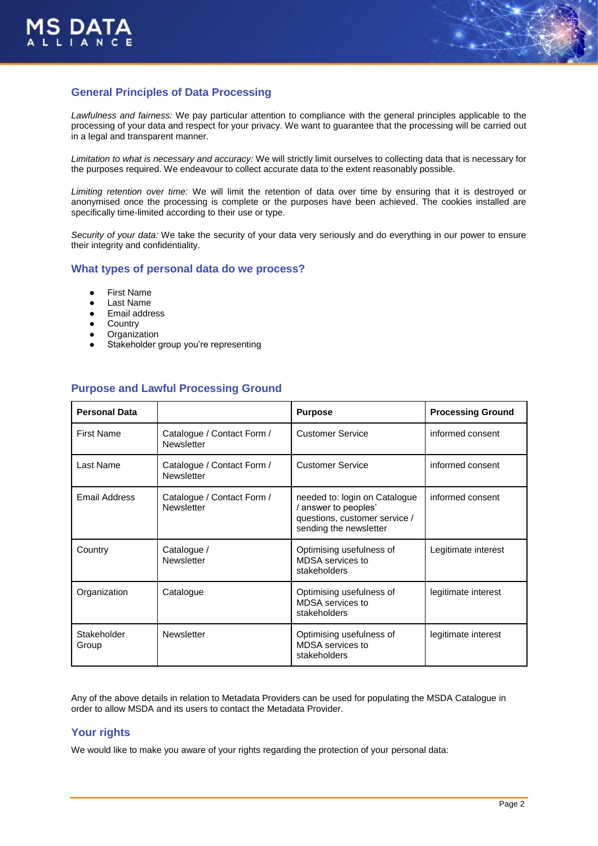



## **General Principles of Data Processing**

*Lawfulness and fairness:* We pay particular attention to compliance with the general principles applicable to the processing of your data and respect for your privacy. We want to guarantee that the processing will be carried out in a legal and transparent manner.

*Limitation to what is necessary and accuracy:* We will strictly limit ourselves to collecting data that is necessary for the purposes required. We endeavour to collect accurate data to the extent reasonably possible.

*Limiting retention over time:* We will limit the retention of data over time by ensuring that it is destroyed or anonymised once the processing is complete or the purposes have been achieved. The cookies installed are specifically time-limited according to their use or type.

*Security of your data:* We take the security of your data very seriously and do everything in our power to ensure their integrity and confidentiality.

#### **What types of personal data do we process?**

- **First Name**
- Last Name
- Email address
- **Country**
- Organization
- Stakeholder group you're representing

### **Purpose and Lawful Processing Ground**

| <b>Personal Data</b> |                                                 | <b>Purpose</b>                                                                                                   | <b>Processing Ground</b> |
|----------------------|-------------------------------------------------|------------------------------------------------------------------------------------------------------------------|--------------------------|
| <b>First Name</b>    | Catalogue / Contact Form /<br><b>Newsletter</b> | <b>Customer Service</b>                                                                                          | informed consent         |
| Last Name            | Catalogue / Contact Form /<br>Newsletter        | <b>Customer Service</b>                                                                                          | informed consent         |
| <b>Email Address</b> | Catalogue / Contact Form /<br>Newsletter        | needed to: login on Catalogue<br>/ answer to peoples'<br>questions, customer service /<br>sending the newsletter | informed consent         |
| Country              | Catalogue /<br>Newsletter                       | Optimising usefulness of<br>MDSA services to<br>stakeholders                                                     | Legitimate interest      |
| Organization         | Catalogue                                       | Optimising usefulness of<br>MDSA services to<br>stakeholders                                                     | legitimate interest      |
| Stakeholder<br>Group | Newsletter                                      | Optimising usefulness of<br>MDSA services to<br>stakeholders                                                     | legitimate interest      |

Any of the above details in relation to Metadata Providers can be used for populating the MSDA Catalogue in order to allow MSDA and its users to contact the Metadata Provider.

#### **Your rights**

We would like to make you aware of your rights regarding the protection of your personal data: